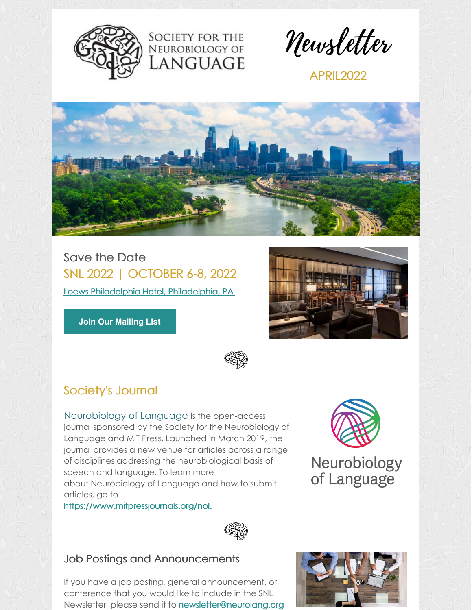



**APRIL2022** 



**SOCIETY FOR THE** NEUROBIOLOGY OF **ANGUAGE** 

Save the Date SNL 2022 | OCTOBER 6-8, 2022 Loews Philadelphia Hotel, [Philadelphia,](https://www.loewshotels.com/philadelphia-hotel) PA

**Join Our [Mailing](https://visitor.r20.constantcontact.com/manage/optin?v=001LoN65urbqSN0pJqfl6cvlxy8pEJtSKDj) List**



# Society's Journal

[Neurobiology](http://neurolang.org/neurobiology-of-language/) of Language is the open-access journal sponsored by the Society for the Neurobiology of Language and MIT Press. Launched in March 2019, the journal provides a new venue for articles across a range of disciplines addressing the neurobiological basis of speech and language. To learn more about Neurobiology of Language and how to submit articles, go to





Neurobiology of Language



# Job Postings and Announcements

If you have a job posting, general announcement, or conference that you would like to include in the SNL Newsletter, please send it to [newsletter@neurolang.org](mailto:newsletter@neurolang.org)

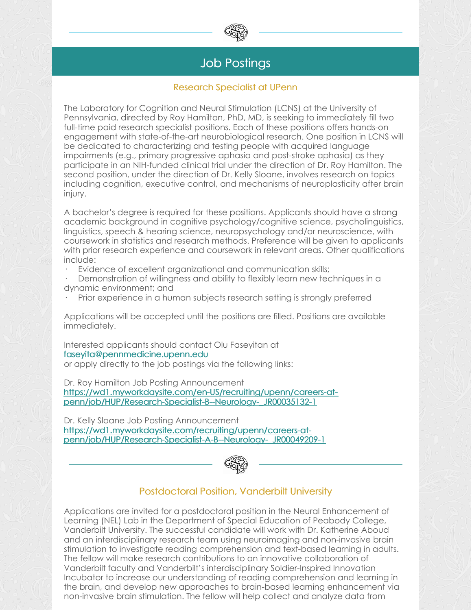

# Job Postings

#### Research Specialist at UPenn

The Laboratory for Cognition and Neural Stimulation (LCNS) at the University of Pennsylvania, directed by Roy Hamilton, PhD, MD, is seeking to immediately fill two full-time paid research specialist positions. Each of these positions offers hands-on engagement with state-of-the-art neurobiological research. One position in LCNS will be dedicated to characterizing and testing people with acquired language impairments (e.g., primary progressive aphasia and post-stroke aphasia) as they participate in an NIH-funded clinical trial under the direction of Dr. Roy Hamilton. The second position, under the direction of Dr. Kelly Sloane, involves research on topics including cognition, executive control, and mechanisms of neuroplasticity after brain injury.

A bachelor's degree is required for these positions. Applicants should have a strong academic background in cognitive psychology/cognitive science, psycholinguistics, linguistics, speech & hearing science, neuropsychology and/or neuroscience, with coursework in statistics and research methods. Preference will be given to applicants with prior research experience and coursework in relevant areas. Other qualifications include:

Evidence of excellent organizational and communication skills;

Demonstration of willingness and ability to flexibly learn new techniques in a dynamic environment; and

· Prior experience in a human subjects research setting is strongly preferred

Applications will be accepted until the positions are filled. Positions are available immediately.

Interested applicants should contact Olu Faseyitan at [faseyita@pennmedicine.upenn.edu](mailto:faseyita@pennmedicine.upenn.edu) or apply directly to the job postings via the following links:

Dr. Roy Hamilton Job Posting Announcement [https://wd1.myworkdaysite.com/en-US/recruiting/upenn/careers-at](https://wd1.myworkdaysite.com/en-US/recruiting/upenn/careers-at-penn/job/HUP/Research-Specialist-B--Neurology-_JR00035132-1)penn/job/HUP/Research-Specialist-B--Neurology-\_JR00035132-1

Dr. Kelly Sloane Job Posting Announcement https://wd1.myworkdaysite.com/recruiting/upenn/careers-at[penn/job/HUP/Research-Specialist-A-B--Neurology-\\_JR00049209-1](https://wd1.myworkdaysite.com/recruiting/upenn/careers-at-penn/job/HUP/Research-Specialist-A-B--Neurology-_JR00049209-1)



# Postdoctoral Position, Vanderbilt University

Applications are invited for a postdoctoral position in the Neural Enhancement of Learning (NEL) Lab in the Department of Special Education of Peabody College, Vanderbilt University. The successful candidate will work with Dr. Katherine Aboud and an interdisciplinary research team using neuroimaging and non-invasive brain stimulation to investigate reading comprehension and text-based learning in adults. The fellow will make research contributions to an innovative collaboration of Vanderbilt faculty and Vanderbilt's interdisciplinary Soldier-Inspired Innovation Incubator to increase our understanding of reading comprehension and learning in the brain, and develop new approaches to brain-based learning enhancement via non-invasive brain stimulation. The fellow will help collect and analyze data from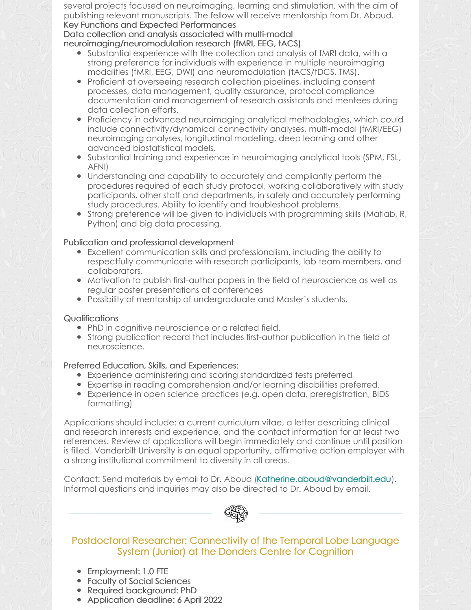several projects focused on neuroimaging, learning and stimulation, with the aim of publishing relevant manuscripts. The fellow will receive mentorship from Dr. Aboud. Key Functions and Expected Performances

#### Data collection and analysis associated with multi-modal neuroimaging/neuromodulation research (fMRI, EEG, tACS)

- Substantial experience with the collection and analysis of fMRI data, with a strong preference for individuals with experience in multiple neuroimaging modalities (fMRI, EEG, DWI) and neuromodulation (tACS/tDCS, TMS).
- Proficient at overseeing research collection pipelines, including consent processes, data management, quality assurance, protocol compliance documentation and management of research assistants and mentees during data collection efforts.
- Proficiency in advanced neuroimaging analytical methodologies, which could include connectivity/dynamical connectivity analyses, multi-modal (fMRI/EEG) neuroimaging analyses, longitudinal modelling, deep learning and other advanced biostatistical models.
- Substantial training and experience in neuroimaging analytical tools (SPM, FSL, AFNI)
- Understanding and capability to accurately and compliantly perform the procedures required of each study protocol, working collaboratively with study participants, other staff and departments, in safely and accurately performing study procedures. Ability to identify and troubleshoot problems.
- Strong preference will be given to individuals with programming skills (Matlab, R, Python) and big data processing.

#### Publication and professional development

- Excellent communication skills and professionalism, including the ability to respectfully communicate with research participants, lab team members, and collaborators.
- Motivation to publish first-author papers in the field of neuroscience as well as regular poster presentations at conferences
- Possibility of mentorship of undergraduate and Master's students.

#### **Qualifications**

- PhD in cognitive neuroscience or a related field.
- Strong publication record that includes first-author publication in the field of neuroscience.

### Preferred Education, Skills, and Experiences:

- Experience administering and scoring standardized tests preferred
- Expertise in reading comprehension and/or learning disabilities preferred.
- Experience in open science practices (e.g. open data, preregistration, BIDS formatting)

Applications should include: a current curriculum vitae, a letter describing clinical and research interests and experience, and the contact information for at least two references. Review of applications will begin immediately and continue until position is filled. Vanderbilt University is an equal opportunity, affirmative action employer with a strong institutional commitment to diversity in all areas.

Contact: Send materials by email to Dr. Aboud [\(Katherine.aboud@vanderbilt.edu](mailto:Katherine.aboud@vanderbilt.edu)). Informal questions and inquiries may also be directed to Dr. Aboud by email.



## Postdoctoral Researcher: Connectivity of the Temporal Lobe Language System (Junior) at the Donders Centre for Cognition

- Employment: 1.0 FTE
- Faculty of Social Sciences
- Required background: PhD
- Application deadline: 6 April 2022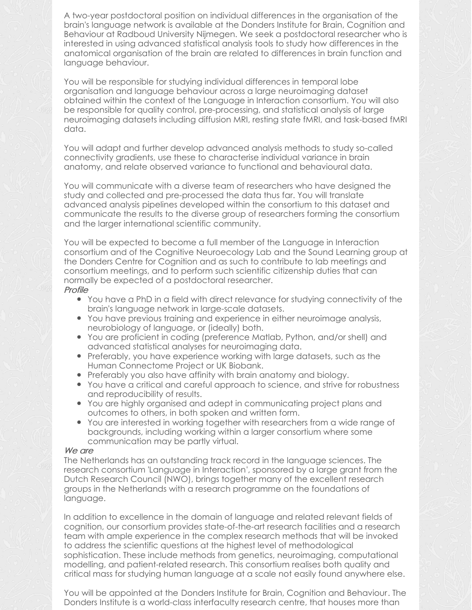A two-year postdoctoral position on individual differences in the organisation of the brain's language network is available at the Donders Institute for Brain, Cognition and Behaviour at Radboud University Nijmegen. We seek a postdoctoral researcher who is interested in using advanced statistical analysis tools to study how differences in the anatomical organisation of the brain are related to differences in brain function and language behaviour.

You will be responsible for studying individual differences in temporal lobe organisation and language behaviour across a large neuroimaging dataset obtained within the context of the Language in Interaction consortium. You will also be responsible for quality control, pre-processing, and statistical analysis of large neuroimaging datasets including diffusion MRI, resting state fMRI, and task-based fMRI data.

You will adapt and further develop advanced analysis methods to study so-called connectivity gradients, use these to characterise individual variance in brain anatomy, and relate observed variance to functional and behavioural data.

You will communicate with a diverse team of researchers who have designed the study and collected and pre-processed the data thus far. You will translate advanced analysis pipelines developed within the consortium to this dataset and communicate the results to the diverse group of researchers forming the consortium and the larger international scientific community.

You will be expected to become a full member of the Language in Interaction consortium and of the Cognitive [Neuroecology](http://www.rbmars.dds.nl/lab.html) Lab and the Sound Learning group at the Donders Centre for Cognition and as such to contribute to lab meetings and consortium meetings, and to perform such scientific citizenship duties that can normally be expected of a postdoctoral researcher. Profile

- You have a PhD in a field with direct relevance for studying connectivity of the brain's language network in large-scale datasets.
- You have previous training and experience in either neuroimage analysis, neurobiology of language, or (ideally) both.
- You are proficient in coding (preference Matlab, Python, and/or shell) and advanced statistical analyses for neuroimaging data.
- Preferably, you have experience working with large datasets, such as the Human Connectome Project or UK Biobank.
- Preferably you also have affinity with brain anatomy and biology.
- You have a critical and careful approach to science, and strive for robustness and reproducibility of results.
- You are highly organised and adept in communicating project plans and outcomes to others, in both spoken and written form.
- You are interested in working together with researchers from a wide range of backgrounds, including working within a larger consortium where some communication may be partly virtual.

#### We are

The Netherlands has an outstanding track record in the language sciences. The research consortium 'Language in [Interaction](https://www.languageininteraction.nl/)', sponsored by a large grant from the Dutch Research Council (NWO), brings together many of the excellent research groups in the Netherlands with a research programme on the foundations of language.

In addition to excellence in the domain of language and related relevant fields of cognition, our consortium provides state-of-the-art research facilities and a research team with ample experience in the complex research methods that will be invoked to address the scientific questions at the highest level of methodological sophistication. These include methods from genetics, neuroimaging, computational modelling, and patient-related research. This consortium realises both quality and critical mass for studying human language at a scale not easily found anywhere else.

You will be appointed at the Donders Institute for Brain, Cognition and [Behaviour](https://www.ru.nl/donders/). The Donders Institute is a world-class interfaculty research centre, that houses more than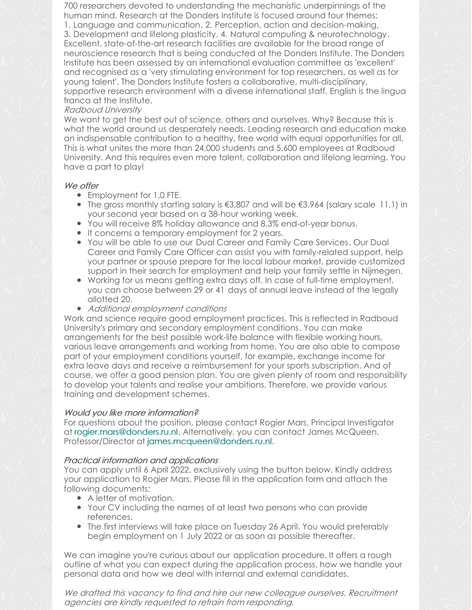700 researchers devoted to understanding the mechanistic underpinnings of the human mind. Research at the Donders Institute is focused around four themes:

1. Language and [communication](https://www.ru.nl/donders/research/theme-1-language-communication/), 2. Perception, action and [decision-making](https://www.ru.nl/donders/research/theme-2-perception-action-decision-making/), 3. [Development](https://www.ru.nl/donders/research/theme-3-plasticity-memory/) and lifelong plasticity, 4. Natural computing & [neurotechnology](https://www.ru.nl/donders/research/theme-4-neural-computation-neurotechnology/). Excellent, state-of-the-art research facilities are available for the broad range of neuroscience research that is being conducted at the Donders Institute. The Donders Institute has been assessed by an international evaluation committee as 'excellent' and recognised as a 'very stimulating environment for top researchers, as well as for young talent'. The Donders Institute fosters a collaborative, multi-disciplinary, supportive research environment with a diverse international staff. English is the lingua franca at the Institute.

#### Radboud University

We want to get the best out of science, others and ourselves. Why? Because this is what the world around us desperately needs. Leading research and education make an indispensable contribution to a healthy, free world with equal opportunities for all. This is what unites the more than 24,000 students and 5,600 employees at Radboud University. And this requires even more talent, collaboration and lifelong learning. You have a part to play!

#### We offer

- Employment for 1.0 FTE.
- The gross monthly starting salary is  $€3,807$  and will be  $€3,964$  (salary scale [11.1](https://www.ru.nl/english/working-at/working-at-radboud-university/employment-conditions/)) in your second year based on a 38-hour working week.
- You will receive 8% holiday allowance and 8.3% end-of-year bonus.
- It concerns a temporary employment for 2 years.
- You will be able to use our Dual Career and Family Care [Services](https://www.ru.nl/english/working-at/working-at-radboud-university/our-way-working-personal-approach/dual-career-family-support-service/). Our Dual Career and Family Care Officer can assist you with family-related support, help your partner or spouse prepare for the local labour market, provide customized support in their search for employment and help your family settle in Nijmegen.
- Working for us means getting extra days off. In case of full-time employment, you can choose [between](https://www.ru.nl/english/working-at/working-at-radboud-university/employment-conditions/more-info-working/flexible-working-times/) 29 or 41 days of annual leave instead of the legally allotted 20.
- Additional employment conditions

Work and science require good employment practices. This is reflected in Radboud University's primary and secondary [employment](https://www.ru.nl/english/working-at/working-at-radboud-university/employment-conditions/) conditions. You can make arrangements for the best possible work-life balance with flexible working hours, various leave arrangements and working from home. You are also able to compose part of your employment conditions yourself, for example, exchange income for extra leave days and receive a reimbursement for your sports subscription. And of course, we offer a good pension plan. You are given plenty of room and responsibility to develop your talents and realise your ambitions. Therefore, we provide various training and development schemes.

### Would you like more information?

For questions about the position, please contact Rogier Mars, Principal Investigator at [rogier.mars@donders.ru.nl](mailto:rogier.mars@donders.ru.nl). Alternatively, you can contact James McQueen, Professor/Director at [james.mcqueen@donders.ru.nl](mailto:james.mcqueen@donders.ru.nl).

### Practical information and applications

You can apply until 6 April 2022, exclusively using the button below. Kindly address your application to Rogier Mars. Please fill in the application form and attach the following documents:

- A letter of motivation.
- Your CV including the names of at least two persons who can provide references.
- The first interviews will take place on Tuesday 26 April. You would preferably begin employment on 1 July 2022 or as soon as possible thereafter.

We can imagine you're curious about our [application](https://www.ru.nl/english/working-at/working-at-radboud-university/application-procedure/) procedure. It offers a rough outline of what you can expect during the application process, how we handle your personal data and how we deal with internal and external candidates.

We drafted this vacancy to find and hire our new colleague ourselves. Recruitment agencies are kindly requested to refrain from responding.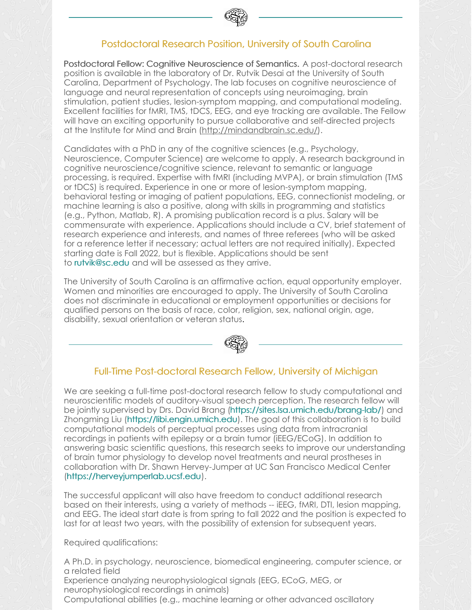

# Postdoctoral Research Position, University of South Carolina

Postdoctoral Fellow: Cognitive Neuroscience of Semantics. A post-doctoral research position is available in the laboratory of Dr. Rutvik Desai at the University of South Carolina, Department of Psychology. The lab focuses on cognitive neuroscience of language and neural representation of concepts using neuroimaging, brain stimulation, patient studies, lesion-symptom mapping, and computational modeling. Excellent facilities for fMRI, TMS, tDCS, EEG, and eye tracking are available. The Fellow will have an exciting opportunity to pursue collaborative and self-directed projects at the Institute for Mind and Brain [\(http://mindandbrain.sc.edu/](http://mindandbrain.sc.edu/)).

Candidates with a PhD in any of the cognitive sciences (e.g., Psychology, Neuroscience, Computer Science) are welcome to apply. A research background in cognitive neuroscience/cognitive science, relevant to semantic or language processing, is required. Expertise with fMRI (including MVPA), or brain stimulation (TMS or tDCS) is required. Experience in one or more of lesion-symptom mapping, behavioral testing or imaging of patient populations, EEG, connectionist modeling, or machine learning is also a positive, along with skills in programming and statistics (e.g., Python, Matlab, R). A promising publication record is a plus. Salary will be commensurate with experience. Applications should include a CV, brief statement of research experience and interests, and names of three referees (who will be asked for a reference letter if necessary; actual letters are not required initially). Expected starting date is Fall 2022, but is flexible. Applications should be sent to [rutvik@sc.edu](mailto:rutvik@sc.edu) and will be assessed as they arrive.

The University of South Carolina is an affirmative action, equal opportunity employer. Women and minorities are encouraged to apply. The University of South Carolina does not discriminate in educational or employment opportunities or decisions for qualified persons on the basis of race, color, religion, sex, national origin, age, disability, sexual orientation or veteran status.



# Full-Time Post-doctoral Research Fellow, University of Michigan

We are seeking a full-time post-doctoral research fellow to study computational and neuroscientific models of auditory-visual speech perception. The research fellow will be jointly supervised by Drs. David Brang [\(https://sites.lsa.umich.edu/brang-lab/](https://sites.lsa.umich.edu/brang-lab/)) and Zhongming Liu [\(https://libi.engin.umich.edu](https://libi.engin.umich.edu)). The goal of this collaboration is to build computational models of perceptual processes using data from intracranial recordings in patients with epilepsy or a brain tumor (iEEG/ECoG). In addition to answering basic scientific questions, this research seeks to improve our understanding of brain tumor physiology to develop novel treatments and neural prostheses in collaboration with Dr. Shawn Hervey-Jumper at UC San Francisco Medical Center (https://herveyjumperlab.ucsf.edu).

The successful applicant will also have freedom to conduct additional research based on their interests, using a variety of methods -- iEEG, fMRI, DTI, lesion mapping, and EEG. The ideal start date is from spring to fall 2022 and the position is expected to last for at least two years, with the possibility of extension for subsequent years.

Required qualifications:

A Ph.D. in psychology, neuroscience, biomedical engineering, computer science, or a related field Experience analyzing neurophysiological signals (EEG, ECoG, MEG, or neurophysiological recordings in animals) Computational abilities (e.g., machine learning or other advanced oscillatory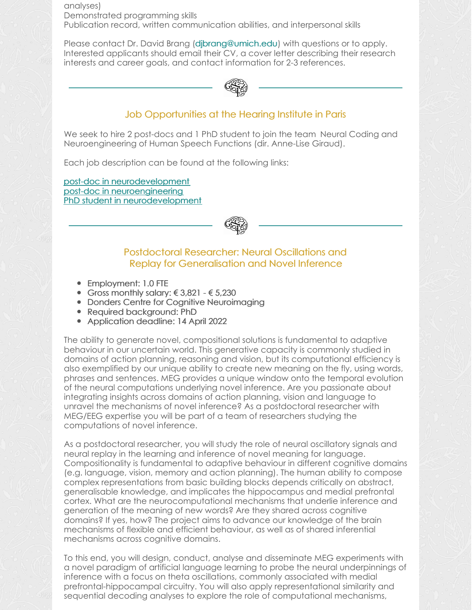analyses) Demonstrated programming skills Publication record, written communication abilities, and interpersonal skills

Please contact Dr. David Brang (dibrang@umich.edu) with questions or to apply. Interested applicants should email their CV, a cover letter describing their research interests and career goals, and contact information for 2-3 references.



# Job Opportunities at the Hearing Institute in Paris

We seek to hire 2 post-docs and 1 PhD student to join the team Neural Coding and [Neuroengineering](https://research.pasteur.fr/fr/team/neural-coding-and-engineering-of-human-speech-functions/) of Human Speech Functions (dir. Anne-Lise Giraud).

Each job description can be found at the following links:

post-doc in [neurodevelopment](https://www.dropbox.com/s/itj78lvmh8gc6lc/JobOffer%5Bpostdoc%5D_Fund%5BANR%5D_IDA%5BParis%5D.pdf?dl=0) post-doc in [neuroengineering](https://www.dropbox.com/s/ub8r6yd39p8horx/JobOffer%5Bpostdoc%5D.pdf?dl=0) PhD student in [neurodevelopment](https://www.dropbox.com/s/upmdjy2b7db0nm5/JobOffer%5Bdoc%5D_Fund%5BANR%5D_IDA%5BParis%5D.pdf?dl=0)



#### Postdoctoral Researcher: Neural Oscillations and Replay for Generalisation and Novel Inference

- Employment: 1.0 FTE
- Gross monthly salary:  $\leq 3.821 \leq 5.230$
- Donders Centre for Cognitive Neuroimaging
- Required background: PhD
- Application deadline: 14 April 2022

The ability to generate novel, compositional solutions is fundamental to adaptive behaviour in our uncertain world. This generative capacity is commonly studied in domains of action planning, reasoning and vision, but its computational efficiency is also exemplified by our unique ability to create new meaning on the fly, using words, phrases and sentences. MEG provides a unique window onto the temporal evolution of the neural computations underlying novel inference. Are you passionate about integrating insights across domains of action planning, vision and language to unravel the mechanisms of novel inference? As a postdoctoral researcher with MEG/EEG expertise you will be part of a team of researchers studying the computations of novel inference.

As a postdoctoral researcher, you will study the role of neural oscillatory signals and neural replay in the learning and inference of novel meaning for language. Compositionality is fundamental to adaptive behaviour in different cognitive domains (e.g. language, vision, memory and action planning). The human ability to compose complex representations from basic building blocks depends critically on abstract, generalisable knowledge, and implicates the hippocampus and medial prefrontal cortex. What are the neurocomputational mechanisms that underlie inference and generation of the meaning of new words? Are they shared across cognitive domains? If yes, how? The project aims to advance our knowledge of the brain mechanisms of flexible and efficient behaviour, as well as of shared inferential mechanisms across cognitive domains.

To this end, you will design, conduct, analyse and disseminate MEG experiments with a novel paradigm of artificial language learning to probe the neural underpinnings of inference with a focus on theta oscillations, commonly associated with medial prefrontal-hippocampal circuitry. You will also apply representational similarity and sequential decoding analyses to explore the role of computational mechanisms,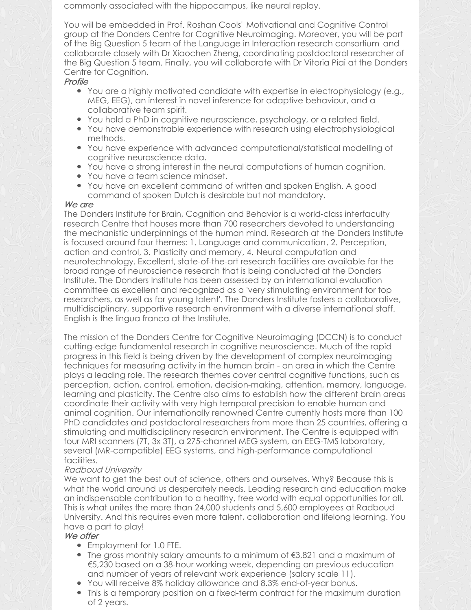commonly associated with the hippocampus, like neural replay.

You will be embedded in Prof. Roshan Cools' Motivational and Cognitive Control group at the Donders Centre for Cognitive [Neuroimaging.](http://www.roshancools.com/) Moreover, you will be part of the Big Question 5 team of the Language in Interaction research [consortium](https://www.languageininteraction.nl/research-organization/big-questions/big-question-5/) and collaborate closely with Dr Xiaochen Zheng, coordinating postdoctoral researcher of the Big Question 5 team. Finally, you will collaborate with Dr [Vitoria](https://vitoriapiai.science/) Piai at the Donders Centre for Cognition.

Profile

- You are a highly motivated candidate with expertise in electrophysiology (e.g., MEG, EEG), an interest in novel inference for adaptive behaviour, and a collaborative team spirit.
- You hold a PhD in cognitive neuroscience, psychology, or a related field.
- You have demonstrable experience with research using electrophysiological methods.
- You have experience with advanced computational/statistical modelling of cognitive neuroscience data.
- You have a strong interest in the neural computations of human cognition.
- You have a team science mindset.
- You have an excellent command of written and spoken English. A good command of spoken Dutch is desirable but not mandatory.

#### We are

The Donders Institute for Brain, Cognition and Behavior is a world-class interfaculty research Centre that houses more than 700 researchers devoted to understanding the mechanistic underpinnings of the human mind. Research at the Donders Institute is focused around four themes: 1. Language and [communicatio](https://www.ru.nl/donders/research/theme-1-language-communication/)[n,](https://www.ru.nl/donders/research/theme-2-perception-action-decision-making/) 2. Perception, action and control, 3. [Plasticity](https://www.ru.nl/donders/research/theme-3-plasticity-memory/) and memory, 4. Neural computation and [neurotechnology.](https://www.ru.nl/donders/research/theme-4-neural-computation-neurotechnology/) Excellent, state-of-the-art research facilities are available for the broad range of neuroscience research that is being conducted at the Donders Institute. The Donders Institute has been assessed by an international evaluation committee as excellent and recognized as a 'very stimulating environment for top researchers, as well as for young talent'. The Donders Institute fosters a collaborative, multidisciplinary, supportive research environment with a diverse international staff. English is the lingua franca at the Institute.

The mission of the Donders Centre for Cognitive Neuroimaging (DCCN) is to conduct cutting-edge fundamental research in cognitive neuroscience. Much of the rapid progress in this field is being driven by the development of complex neuroimaging techniques for measuring activity in the human brain - an area in which the Centre plays a leading role. The research themes cover central cognitive functions, such as perception, action, control, emotion, decision-making, attention, memory, language, learning and plasticity. The Centre also aims to establish how the different brain areas coordinate their activity with very high temporal precision to enable human and animal cognition. Our internationally renowned Centre currently hosts more than 100 PhD candidates and postdoctoral researchers from more than 25 countries, offering a stimulating and multidisciplinary research environment. The Centre is equipped with four MRI scanners (7T, 3x 3T), a 275-channel MEG system, an EEG-TMS laboratory, several (MR-compatible) EEG systems, and high-performance computational facilities.

### Radboud University

We want to get the best out of science, others and ourselves. Why? Because this is what the world around us desperately needs. Leading research and education make an indispensable contribution to a healthy, free world with equal opportunities for all. This is what unites the more than 24,000 students and 5,600 employees at Radboud University. And this requires even more talent, collaboration and lifelong learning. You have a part to play!

#### We offer

- Employment for 1.0 FTE.
- The gross monthly salary amounts to a minimum of  $\epsilon$ 3,821 and a maximum of €5,230 based on a 38-hour working week, depending on previous education and number of years of relevant work experience [\(salary](https://www.ru.nl/english/working-at/working-at-radboud-university/employment-conditions/) scale 11).
- You will receive 8% holiday allowance and 8.3% end-of-year bonus.
- This is a temporary position on a fixed-term contract for the maximum duration of 2 years.
-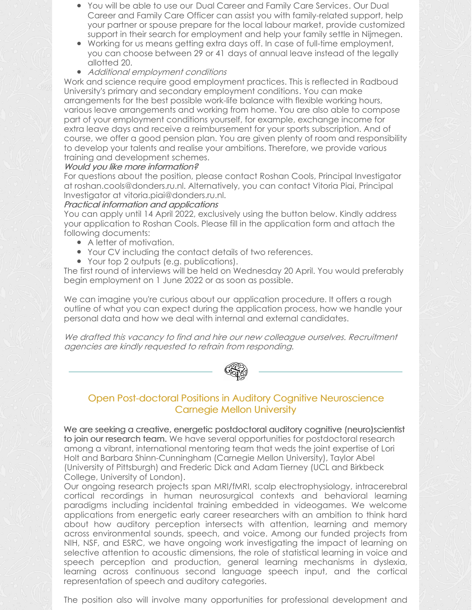- You will be able to use our Dual Career and Family Care [Services](https://www.ru.nl/english/working-at/working-at-radboud-university/our-way-working-personal-approach/dual-career-family-support-service/). Our Dual Career and Family Care Officer can assist you with family-related support, help your partner or spouse prepare for the local labour market, provide customized support in their search for employment and help your family settle in Nijmegen.
- Working for us means getting extra days off. In case of full-time employment, you can choose [between](https://www.ru.nl/english/working-at/working-at-radboud-university/employment-conditions/more-info-working/flexible-working-times/) 29 or 41 days of annual leave instead of the legally allotted 20.
- Additional employment conditions

Work and science require good employment practices. This is reflected in Radboud University's primary and secondary [employment](https://www.ru.nl/english/working-at/working-at-radboud-university/employment-conditions/) conditions. You can make arrangements for the best possible work-life balance with flexible working hours, various leave arrangements and working from home. You are also able to compose part of your employment conditions yourself, for example, exchange income for extra leave days and receive a reimbursement for your sports subscription. And of course, we offer a good pension plan. You are given plenty of room and responsibility to develop your talents and realise your ambitions. Therefore, we provide various training and development schemes.

#### Would you like more information?

For questions about the position, please contact Roshan Cools, Principal Investigator at [roshan.cools@donders.ru.nl](mailto:roshan.cools@donders.ru.nl). Alternatively, you can contact Vitoria Piai, Principal Investigator at [vitoria.piai@donders.ru.nl](mailto:vitoria.piai@donders.ru.nl).

#### Practical information and applications

You can apply until 14 April 2022, exclusively using the button below. Kindly address your application to Roshan Cools. Please fill in the application form and attach the following documents:

- A letter of motivation.
- Your CV including the contact details of two references.
- Your top 2 outputs (e.g. publications).

The first round of interviews will be held on Wednesday 20 April. You would preferably begin employment on 1 June 2022 or as soon as possible.

We can imagine you're curious about our [application](https://www.ru.nl/english/working-at/working-at-radboud-university/application-procedure/) procedure. It offers a rough outline of what you can expect during the application process, how we handle your personal data and how we deal with internal and external candidates.

We drafted this vacancy to find and hire our new colleague ourselves. Recruitment agencies are kindly requested to refrain from responding.



## Open Post-doctoral Positions in Auditory Cognitive Neuroscience Carnegie Mellon University

We are seeking a creative, energetic postdoctoral auditory cognitive (neuro)scientist to join our research team. We have several opportunities for postdoctoral research among a vibrant, international mentoring team that weds the joint expertise of Lori Holt and Barbara Shinn-Cunningham (Carnegie Mellon University), Taylor Abel (University of Pittsburgh) and Frederic Dick and Adam Tierney (UCL and Birkbeck College, University of London).

Our ongoing research projects span MRI/fMRI, scalp electrophysiology, intracerebral cortical recordings in human neurosurgical contexts and behavioral learning paradigms including incidental training embedded in videogames. We welcome applications from energetic early career researchers with an ambition to think hard about how auditory perception intersects with attention, learning and memory across environmental sounds, speech, and voice. Among our funded projects from NIH, NSF, and ESRC, we have ongoing work investigating the impact of learning on selective attention to acoustic dimensions, the role of statistical learning in voice and speech perception and production, general learning mechanisms in dyslexia, learning across continuous second language speech input, and the cortical representation of speech and auditory categories.

The position also will involve many opportunities for professional development and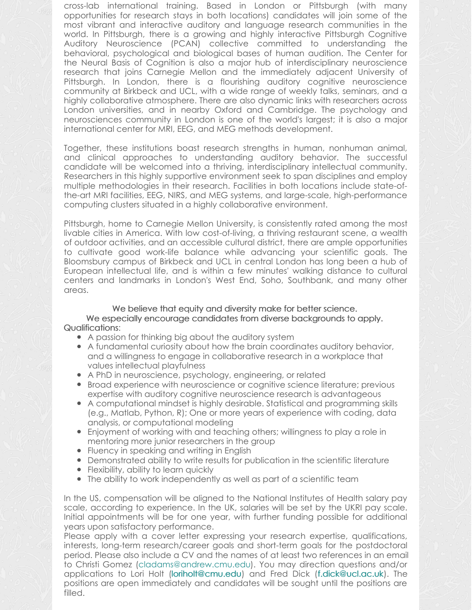cross-lab international training. Based in London or Pittsburgh (with many opportunities for research stays in both locations) candidates will join some of the most vibrant and interactive auditory and language research communities in the world. In Pittsburgh, there is a growing and highly interactive Pittsburgh Cognitive Auditory Neuroscience (PCAN) collective committed to understanding the behavioral, psychological and biological bases of human audition. The Center for the Neural Basis of Cognition is also a major hub of interdisciplinary neuroscience research that joins Carnegie Mellon and the immediately adjacent University of Pittsburgh. In London, there is a flourishing auditory cognitive neuroscience community at Birkbeck and UCL, with a wide range of weekly talks, seminars, and a highly collaborative atmosphere. There are also dynamic links with researchers across London universities, and in nearby Oxford and Cambridge. The psychology and neurosciences community in London is one of the world's largest; it is also a major international center for MRI, EEG, and MEG methods development.

Together, these institutions boast research strengths in human, nonhuman animal, and clinical approaches to understanding auditory behavior. The successful candidate will be welcomed into a thriving, interdisciplinary intellectual community. Researchers in this highly supportive environment seek to span disciplines and employ multiple methodologies in their research. Facilities in both locations include state-ofthe-art MRI facilities, EEG, NIRS, and MEG systems, and large-scale, high-performance computing clusters situated in a highly collaborative environment.

Pittsburgh, home to Carnegie Mellon University, is consistently rated among the most livable cities in America. With low cost-of-living, a thriving restaurant scene, a wealth of outdoor activities, and an accessible cultural district, there are ample opportunities to cultivate good work-life balance while advancing your scientific goals. The Bloomsbury campus of Birkbeck and UCL in central London has long been a hub of European intellectual life, and is within a few minutes' walking distance to cultural centers and landmarks in London's West End, Soho, Southbank, and many other areas.

We believe that equity and diversity make for better science. We especially encourage candidates from diverse backgrounds to apply. Qualifications:

- A passion for thinking big about the auditory system
- A fundamental curiosity about how the brain coordinates auditory behavior, and a willingness to engage in collaborative research in a workplace that values intellectual playfulness
- A PhD in neuroscience, psychology, engineering, or related
- Broad experience with neuroscience or cognitive science literature; previous expertise with auditory cognitive neuroscience research is advantageous
- A computational mindset is highly desirable. Statistical and programming skills (e.g., Matlab, Python, R); One or more years of experience with coding, data analysis, or computational modeling
- Enjoyment of working with and teaching others; willingness to play a role in mentoring more junior researchers in the group
- Fluency in speaking and writing in English
- **•** Demonstrated ability to write results for publication in the scientific literature
- Flexibility, ability to learn quickly
- The ability to work independently as well as part of a scientific team

In the US, compensation will be aligned to the National Institutes of Health salary pay scale, according to experience. In the UK, salaries will be set by the UKRI pay scale. Initial appointments will be for one year, with further funding possible for additional years upon satisfactory performance.

Please apply with a cover letter expressing your research expertise, qualifications, interests, long-term research/career goals and short-term goals for the postdoctoral period. Please also include a CV and the names of at least two references in an email to Christi Gomez ([cladams@andrew.cmu.edu](mailto:cladams@andrew.cmu.edu)). You may direction questions and/or applications to Lori Holt ([loriholt@cmu.edu](mailto:loriholt@cmu.edu)) and Fred Dick [\(f.dick@ucl.ac.uk](mailto:f.dick@ucl.ac.uk)). The positions are open immediately and candidates will be sought until the positions are filled.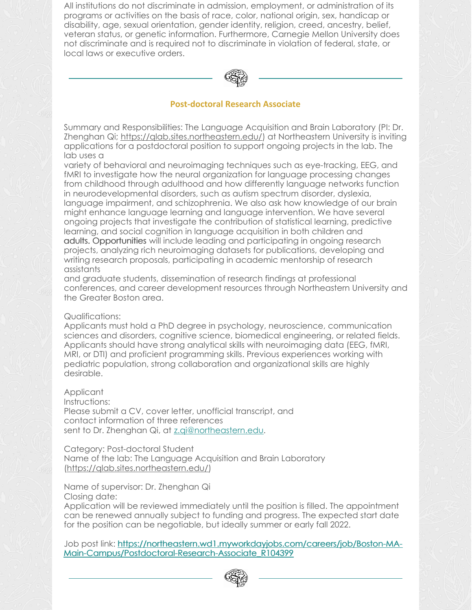All institutions do not discriminate in admission, employment, or administration of its programs or activities on the basis of race, color, national origin, sex, handicap or disability, age, sexual orientation, gender identity, religion, creed, ancestry, belief, veteran status, or genetic information. Furthermore, Carnegie Mellon University does not discriminate and is required not to discriminate in violation of federal, state, or local laws or executive orders.



#### **Post-doctoral Research Associate**

Summary and Responsibilities: The Language Acquisition and Brain Laboratory (PI: Dr. Zhenghan Qi; <https://qlab.sites.northeastern.edu/>) at Northeastern University is inviting applications for a postdoctoral position to support ongoing projects in the lab. The lab uses a

variety of behavioral and neuroimaging techniques such as eye-tracking, EEG, and fMRI to investigate how the neural organization for language processing changes from childhood through adulthood and how differently language networks function in neurodevelopmental disorders, such as autism spectrum disorder, dyslexia, language impairment, and schizophrenia. We also ask how knowledge of our brain might enhance language learning and language intervention. We have several ongoing projects that investigate the contribution of statistical learning, predictive learning, and social cognition in language acquisition in both children and adults. Opportunities will include leading and participating in ongoing research projects, analyzing rich neuroimaging datasets for publications, developing and writing research proposals, participating in academic mentorship of research assistants

and graduate students, dissemination of research findings at professional conferences, and career development resources through Northeastern University and the Greater Boston area.

#### Qualifications:

Applicants must hold a PhD degree in psychology, neuroscience, communication sciences and disorders, cognitive science, biomedical engineering, or related fields. Applicants should have strong analytical skills with neuroimaging data (EEG, fMRI, MRI, or DTI) and proficient programming skills. Previous experiences working with pediatric population, strong collaboration and organizational skills are highly desirable.

Applicant

Instructions: Please submit a CV, cover letter, unofficial transcript, and contact information of three references sent to Dr. Zhenghan Qi, at [z.qi@northeastern.edu](mailto:z.qi@northeastern.edu).

Category: Post-doctoral Student Name of the lab: The Language Acquisition and Brain Laboratory [\(https://qlab.sites.northeastern.edu/](https://qlab.sites.northeastern.edu/))

Name of supervisor: Dr. Zhenghan Qi Closing date:

Application will be reviewed immediately until the position is filled. The appointment can be renewed annually subject to funding and progress. The expected start date for the position can be negotiable, but ideally summer or early fall 2022.

Job post link: [https://northeastern.wd1.myworkdayjobs.com/careers/job/Boston-MA-](https://northeastern.wd1.myworkdayjobs.com/careers/job/Boston-MA-Main-Campus/Postdoctoral-Research-Associate_R104399)Main-Campus/Postdoctoral-Research-Associate\_R104399

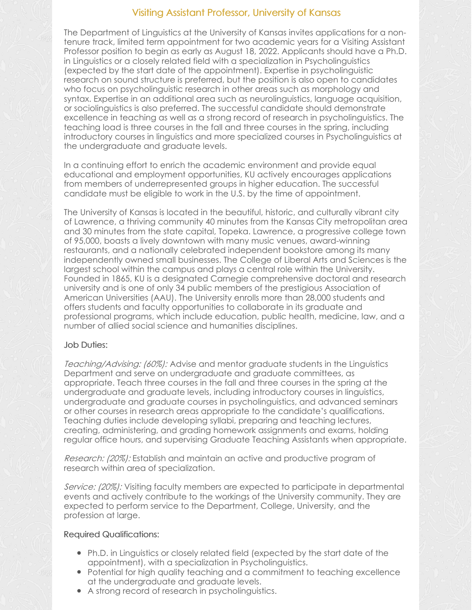## Visiting Assistant Professor, University of Kansas

The Department of Linguistics at the University of Kansas invites applications for a nontenure track, limited term appointment for two academic years for a Visiting Assistant Professor position to begin as early as August 18, 2022. Applicants should have a Ph.D. in Linguistics or a closely related field with a specialization in Psycholinguistics (expected by the start date of the appointment). Expertise in psycholinguistic research on sound structure is preferred, but the position is also open to candidates who focus on psycholinguistic research in other areas such as morphology and syntax. Expertise in an additional area such as neurolinguistics, language acquisition, or sociolinguistics is also preferred. The successful candidate should demonstrate excellence in teaching as well as a strong record of research in psycholinguistics. The teaching load is three courses in the fall and three courses in the spring, including introductory courses in linguistics and more specialized courses in Psycholinguistics at the undergraduate and graduate levels.

In a continuing effort to enrich the academic environment and provide equal educational and employment opportunities, KU actively encourages applications from members of underrepresented groups in higher education. The successful candidate must be eligible to work in the U.S. by the time of appointment.

The University of Kansas is located in the beautiful, historic, and culturally vibrant city of Lawrence, a thriving community 40 minutes from the Kansas City metropolitan area and 30 minutes from the state capital, Topeka. Lawrence, a progressive college town of 95,000, boasts a lively downtown with many music venues, award-winning restaurants, and a nationally celebrated independent bookstore among its many independently owned small businesses. The College of Liberal Arts and Sciences is the largest school within the campus and plays a central role within the University. Founded in 1865, KU is a designated Carnegie comprehensive doctoral and research university and is one of only 34 public members of the prestigious Association of American Universities (AAU). The University enrolls more than 28,000 students and offers students and faculty opportunities to collaborate in its graduate and professional programs, which include education, public health, medicine, law, and a number of allied social science and humanities disciplines.

### Job Duties:

Teaching/Advising: (60%): Advise and mentor graduate students in the Linguistics Department and serve on undergraduate and graduate committees, as appropriate. Teach three courses in the fall and three courses in the spring at the undergraduate and graduate levels, including introductory courses in linguistics, undergraduate and graduate courses in psycholinguistics, and advanced seminars or other courses in research areas appropriate to the candidate's qualifications. Teaching duties include developing syllabi, preparing and teaching lectures, creating, administering, and grading homework assignments and exams, holding regular office hours, and supervising Graduate Teaching Assistants when appropriate.

Research: (20%): Establish and maintain an active and productive program of research within area of specialization.

Service: (20%): Visiting faculty members are expected to participate in departmental events and actively contribute to the workings of the University community. They are expected to perform service to the Department, College, University, and the profession at large.

### Required Qualifications:

- Ph.D. in Linguistics or closely related field (expected by the start date of the appointment), with a specialization in Psycholinguistics.
- Potential for high quality teaching and a commitment to teaching excellence at the undergraduate and graduate levels.
- A strong record of research in psycholinguistics.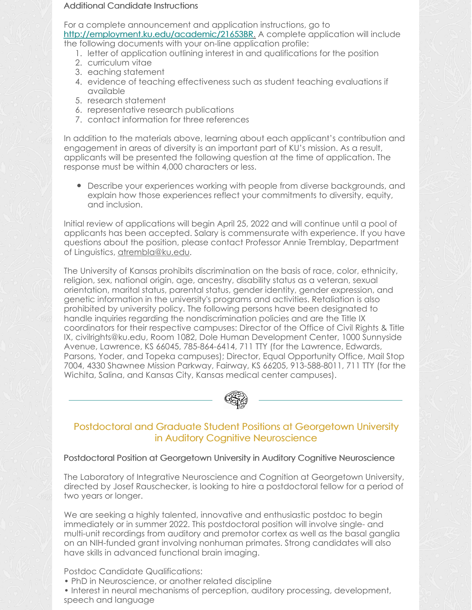#### Additional Candidate Instructions

For a complete announcement and application instructions, go to <http://employment.ku.edu/academic/21653BR>. A complete application will include the following documents with your on-line application profile:

- 1. letter of application outlining interest in and qualifications for the position
- 2. curriculum vitae
- 3. eaching statement
- 4. evidence of teaching effectiveness such as student teaching evaluations if available
- 5. research statement
- 6. representative research publications
- 7. contact information for three references

In addition to the materials above, learning about each applicant's contribution and engagement in areas of diversity is an important part of KU's mission. As a result, applicants will be presented the following question at the time of application. The response must be within 4,000 characters or less.

Describe your experiences working with people from diverse backgrounds, and explain how those experiences reflect your commitments to diversity, equity, and inclusion.

Initial review of applications will begin April 25, 2022 and will continue until a pool of applicants has been accepted. Salary is commensurate with experience. If you have questions about the position, please contact Professor Annie Tremblay, Department of Linguistics, [atrembla@ku.edu](mailto:atrembla@ku.edu).

The University of Kansas prohibits discrimination on the basis of race, color, ethnicity, religion, sex, national origin, age, ancestry, disability status as a veteran, sexual orientation, marital status, parental status, gender identity, gender expression, and genetic information in the university's programs and activities. Retaliation is also prohibited by university policy. The following persons have been designated to handle inquiries regarding the nondiscrimination policies and are the Title IX coordinators for their respective campuses: Director of the Office of Civil Rights & Title IX, civilrights@ku.edu, Room 1082, Dole Human Development Center, 1000 Sunnyside Avenue, Lawrence, KS 66045, 785-864-6414, 711 TTY (for the Lawrence, Edwards, Parsons, Yoder, and Topeka campuses); Director, Equal Opportunity Office, Mail Stop 7004, 4330 Shawnee Mission Parkway, Fairway, KS 66205, 913-588-8011, 711 TTY (for the Wichita, Salina, and Kansas City, Kansas medical center campuses).



## Postdoctoral and Graduate Student Positions at Georgetown University in Auditory Cognitive Neuroscience

### Postdoctoral Position at Georgetown University in Auditory Cognitive Neuroscience

The Laboratory of Integrative Neuroscience and Cognition at Georgetown University, directed by Josef Rauschecker, is looking to hire a postdoctoral fellow for a period of two years or longer.

We are seeking a highly talented, innovative and enthusiastic postdoc to begin immediately or in summer 2022. This postdoctoral position will involve single- and multi-unit recordings from auditory and premotor cortex as well as the basal ganglia on an NIH-funded grant involving nonhuman primates. Strong candidates will also have skills in advanced functional brain imaging.

Postdoc Candidate Qualifications:

• PhD in Neuroscience, or another related discipline

• Interest in neural mechanisms of perception, auditory processing, development, speech and language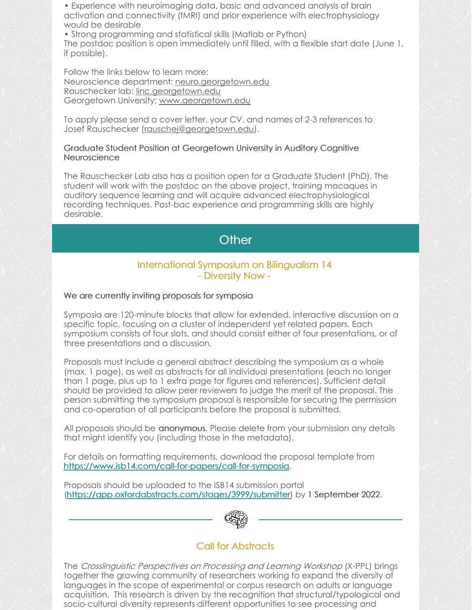• Experience with neuroimaging data, basic and advanced analysis of brain activation and connectivity (fMRI) and prior experience with electrophysiology would be desirable

• Strong programming and statistical skills (Matlab or Python) The postdoc position is open immediately until filled, with a flexible start date (June 1, if possible).

Follow the links below to learn more: Neuroscience department: [neuro.georgetown.edu](https://neuro.georgetown.edu/) Rauschecker lab: [linc.georgetown.edu](https://linc.georgetown.edu/) Georgetown University: [www.georgetown.edu](http://www.georgetown.edu)

To apply please send a cover letter, your CV, and names of 2-3 references to Josef Rauschecker [\(rauschej@georgetown.edu](mailto:rauschej@georgetown.edu)).

#### Graduate Student Position at Georgetown University in Auditory Cognitive **Neuroscience**

The Rauschecker Lab also has a position open for a Graduate Student (PhD). The student will work with the postdoc on the above project, training macaques in auditory sequence learning and will acquire advanced electrophysiological recording techniques. Post-bac experience and programming skills are highly desirable.

# **Other**

#### International Symposium on Bilingualism 14 - Diversity Now -

#### We are currently inviting proposals for symposia

Symposia are 120-minute blocks that allow for extended, interactive discussion on a specific topic, focusing on a cluster of independent yet related papers. Each symposium consists of four slots, and should consist either of four presentations, or of three presentations and a discussion.

Proposals must include a general abstract describing the symposium as a whole (max. 1 page), as well as abstracts for all individual presentations (each no longer than 1 page, plus up to 1 extra page for figures and references). Sufficient detail should be provided to allow peer reviewers to judge the merit of the proposal. The person submitting the symposium proposal is responsible for securing the permission and co-operation of all participants before the proposal is submitted.

All proposals should be anonymous. Please delete from your submission any details that might identify you (including those in the metadata).

For details on formatting requirements, download the proposal template from <https://www.isb14.com/call-for-papers/call-for-symposia>.

Proposals should be uploaded to the ISB14 submission portal [\(https://app.oxfordabstracts.com/stages/3999/submitter](https://app.oxfordabstracts.com/stages/3999/submitter)) by 1 September 2022.



## Call for Abstracts

The Crosslinguistic Perspectives on Processing and Learning Workshop (X-PPL) brings together the growing community of researchers working to expand the diversity of languages in the scope of experimental or corpus research on adults or language acquisition. This research is driven by the recognition that structural/typological and socio-cultural diversity represents different opportunities to see processing and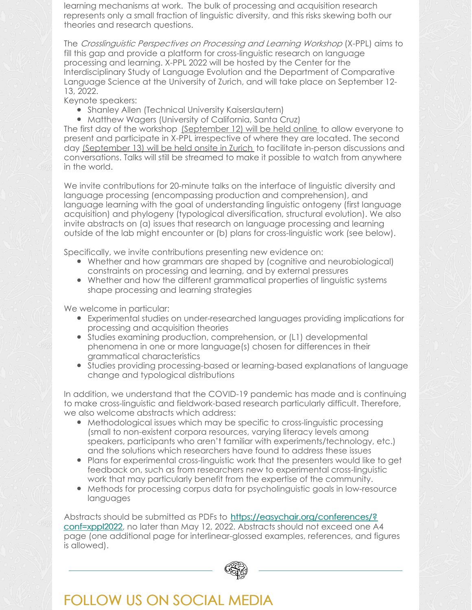learning mechanisms at work. The bulk of processing and acquisition research represents only a small fraction of linguistic diversity, and this risks skewing both our theories and research questions.

The Crosslinguistic Perspectives on Processing and Learning Workshop (X-PPL) aims to fill this gap and provide a platform for cross-linguistic research on language processing and learning. X-PPL 2022 will be hosted by the Center for the Interdisciplinary Study of Language Evolution and the Department of Comparative Language Science at the University of Zurich, and will take place on September 12- 13, 2022.

Keynote speakers:

- **•** Shanley Allen (Technical University Kaiserslautern)
- Matthew Wagers (University of California, Santa Cruz)

The first day of the workshop (September 12) will be held online to allow everyone to present and participate in X-PPL irrespective of where they are located. The second day (September 13) will be held onsite in Zurich to facilitate in-person discussions and conversations. Talks will still be streamed to make it possible to watch from anywhere in the world.

We invite contributions for 20-minute talks on the interface of linguistic diversity and language processing (encompassing production and comprehension), and language learning with the goal of understanding linguistic ontogeny (first language acquisition) and phylogeny (typological diversification, structural evolution). We also invite abstracts on (a) issues that research on language processing and learning outside of the lab might encounter or (b) plans for cross-linguistic work (see below).

Specifically, we invite contributions presenting new evidence on:

- Whether and how grammars are shaped by (cognitive and neurobiological) constraints on processing and learning, and by external pressures
- Whether and how the different grammatical properties of linguistic systems shape processing and learning strategies

We welcome in particular:

- Experimental studies on under-researched languages providing implications for processing and acquisition theories
- Studies examining production, comprehension, or (L1) developmental phenomena in one or more language(s) chosen for differences in their grammatical characteristics
- Studies providing processing-based or learning-based explanations of language change and typological distributions

In addition, we understand that the COVID-19 pandemic has made and is continuing to make cross-linguistic and fieldwork-based research particularly difficult. Therefore, we also welcome abstracts which address:

- Methodological issues which may be specific to cross-linguistic processing (small to non-existent corpora resources, varying literacy levels among speakers, participants who aren't familiar with experiments/technology, etc.) and the solutions which researchers have found to address these issues
- Plans for experimental cross-linguistic work that the presenters would like to get feedback on, such as from researchers new to experimental cross-linguistic work that may particularly benefit from the expertise of the community.
- Methods for processing corpus data for psycholinguistic goals in low-resource languages

Abstracts should be submitted as PDFs to [https://easychair.org/conferences/?](https://easychair.org/conferences/?conf=xppl2022) conf=xppl2022, no later than May 12, 2022. Abstracts should not exceed one A4 page (one additional page for interlinear-glossed examples, references, and figures is allowed).



# FOLLOW US ON SOCIAL MEDIA